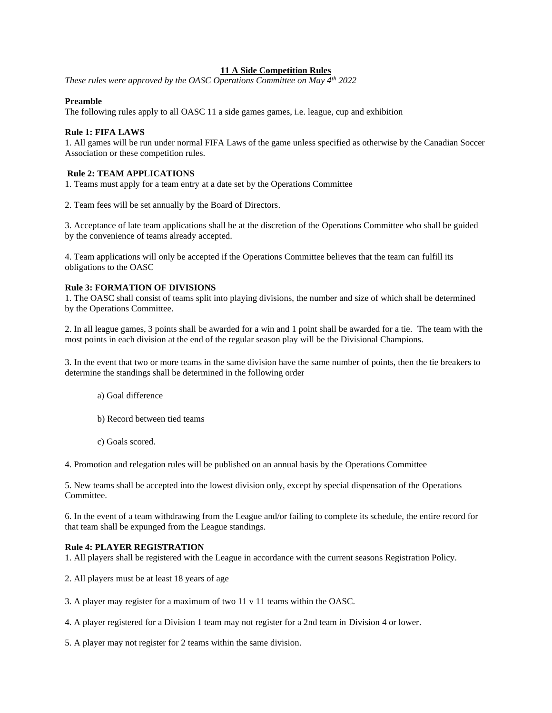# **11 A Side Competition Rules**

*These rules were approved by the OASC Operations Committee on May 4th 2022*

# **Preamble**

The following rules apply to all OASC 11 a side games games, i.e. league, cup and exhibition

# **Rule 1: FIFA LAWS**

1. All games will be run under normal FIFA Laws of the game unless specified as otherwise by the Canadian Soccer Association or these competition rules.

# **Rule 2: TEAM APPLICATIONS**

1. Teams must apply for a team entry at a date set by the Operations Committee

2. Team fees will be set annually by the Board of Directors.

3. Acceptance of late team applications shall be at the discretion of the Operations Committee who shall be guided by the convenience of teams already accepted.

4. Team applications will only be accepted if the Operations Committee believes that the team can fulfill its obligations to the OASC

# **Rule 3: FORMATION OF DIVISIONS**

1. The OASC shall consist of teams split into playing divisions, the number and size of which shall be determined by the Operations Committee.

2. In all league games, 3 points shall be awarded for a win and 1 point shall be awarded for a tie. The team with the most points in each division at the end of the regular season play will be the Divisional Champions.

3. In the event that two or more teams in the same division have the same number of points, then the tie breakers to determine the standings shall be determined in the following order

- a) Goal difference
- b) Record between tied teams
- c) Goals scored.

4. Promotion and relegation rules will be published on an annual basis by the Operations Committee

5. New teams shall be accepted into the lowest division only, except by special dispensation of the Operations Committee.

6. In the event of a team withdrawing from the League and/or failing to complete its schedule, the entire record for that team shall be expunged from the League standings.

### **Rule 4: PLAYER REGISTRATION**

1. All players shall be registered with the League in accordance with the current seasons Registration Policy.

- 2. All players must be at least 18 years of age
- 3. A player may register for a maximum of two 11 v 11 teams within the OASC.
- 4. A player registered for a Division 1 team may not register for a 2nd team in Division 4 or lower.
- 5. A player may not register for 2 teams within the same division.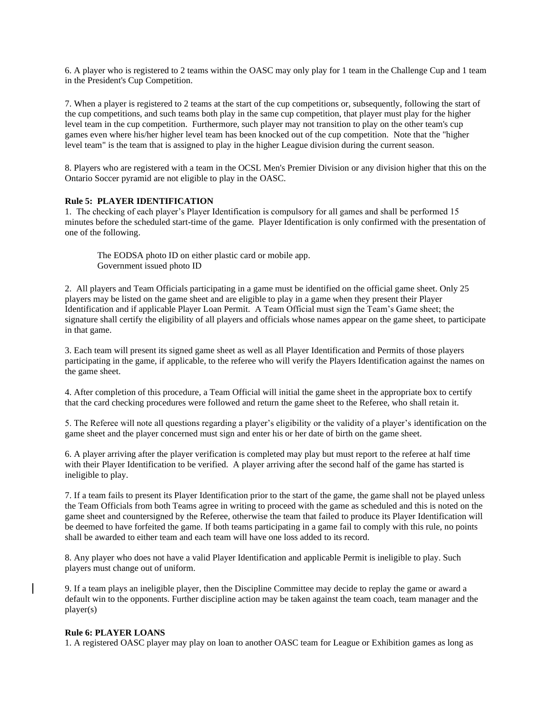6. A player who is registered to 2 teams within the OASC may only play for 1 team in the Challenge Cup and 1 team in the President's Cup Competition.

7. When a player is registered to 2 teams at the start of the cup competitions or, subsequently, following the start of the cup competitions, and such teams both play in the same cup competition, that player must play for the higher level team in the cup competition. Furthermore, such player may not transition to play on the other team's cup games even where his/her higher level team has been knocked out of the cup competition. Note that the "higher level team" is the team that is assigned to play in the higher League division during the current season.

8. Players who are registered with a team in the OCSL Men's Premier Division or any division higher that this on the Ontario Soccer pyramid are not eligible to play in the OASC.

# **Rule 5: PLAYER IDENTIFICATION**

1. The checking of each player's Player Identification is compulsory for all games and shall be performed 15 minutes before the scheduled start-time of the game. Player Identification is only confirmed with the presentation of one of the following.

The EODSA photo ID on either plastic card or mobile app. Government issued photo ID

2. All players and Team Officials participating in a game must be identified on the official game sheet. Only 25 players may be listed on the game sheet and are eligible to play in a game when they present their Player Identification and if applicable Player Loan Permit. A Team Official must sign the Team's Game sheet; the signature shall certify the eligibility of all players and officials whose names appear on the game sheet, to participate in that game.

3. Each team will present its signed game sheet as well as all Player Identification and Permits of those players participating in the game, if applicable, to the referee who will verify the Players Identification against the names on the game sheet.

4. After completion of this procedure, a Team Official will initial the game sheet in the appropriate box to certify that the card checking procedures were followed and return the game sheet to the Referee, who shall retain it.

5. The Referee will note all questions regarding a player's eligibility or the validity of a player's identification on the game sheet and the player concerned must sign and enter his or her date of birth on the game sheet.

6. A player arriving after the player verification is completed may play but must report to the referee at half time with their Player Identification to be verified. A player arriving after the second half of the game has started is ineligible to play.

7. If a team fails to present its Player Identification prior to the start of the game, the game shall not be played unless the Team Officials from both Teams agree in writing to proceed with the game as scheduled and this is noted on the game sheet and countersigned by the Referee, otherwise the team that failed to produce its Player Identification will be deemed to have forfeited the game. If both teams participating in a game fail to comply with this rule, no points shall be awarded to either team and each team will have one loss added to its record.

8. Any player who does not have a valid Player Identification and applicable Permit is ineligible to play. Such players must change out of uniform.

9. If a team plays an ineligible player, then the Discipline Committee may decide to replay the game or award a default win to the opponents. Further discipline action may be taken against the team coach, team manager and the player(s)

#### **Rule 6: PLAYER LOANS**

1. A registered OASC player may play on loan to another OASC team for League or Exhibition games as long as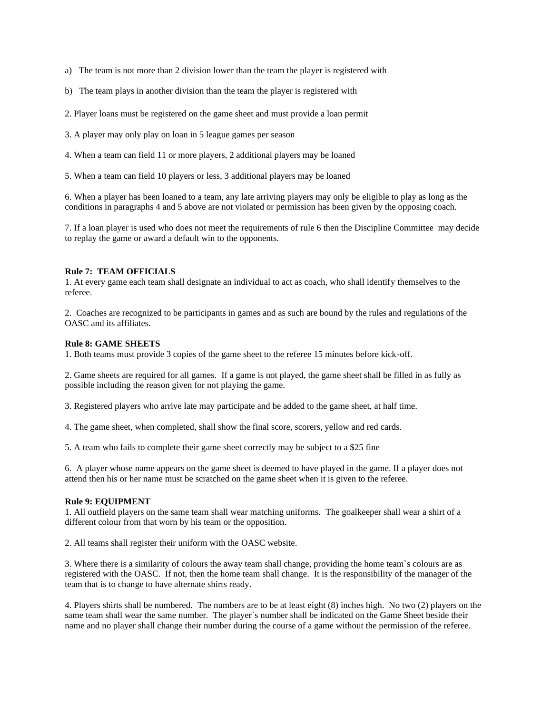- a) The team is not more than 2 division lower than the team the player is registered with
- b) The team plays in another division than the team the player is registered with
- 2. Player loans must be registered on the game sheet and must provide a loan permit
- 3. A player may only play on loan in 5 league games per season
- 4. When a team can field 11 or more players, 2 additional players may be loaned
- 5. When a team can field 10 players or less, 3 additional players may be loaned

6. When a player has been loaned to a team, any late arriving players may only be eligible to play as long as the conditions in paragraphs 4 and 5 above are not violated or permission has been given by the opposing coach.

7. If a loan player is used who does not meet the requirements of rule 6 then the Discipline Committee may decide to replay the game or award a default win to the opponents.

#### **Rule 7: TEAM OFFICIALS**

1. At every game each team shall designate an individual to act as coach, who shall identify themselves to the referee.

2. Coaches are recognized to be participants in games and as such are bound by the rules and regulations of the OASC and its affiliates.

#### **Rule 8: GAME SHEETS**

1. Both teams must provide 3 copies of the game sheet to the referee 15 minutes before kick-off.

2. Game sheets are required for all games. If a game is not played, the game sheet shall be filled in as fully as possible including the reason given for not playing the game.

3. Registered players who arrive late may participate and be added to the game sheet, at half time.

4. The game sheet, when completed, shall show the final score, scorers, yellow and red cards.

5. A team who fails to complete their game sheet correctly may be subject to a \$25 fine

6. A player whose name appears on the game sheet is deemed to have played in the game. If a player does not attend then his or her name must be scratched on the game sheet when it is given to the referee.

#### **Rule 9: EQUIPMENT**

1. All outfield players on the same team shall wear matching uniforms. The goalkeeper shall wear a shirt of a different colour from that worn by his team or the opposition.

2. All teams shall register their uniform with the OASC website.

3. Where there is a similarity of colours the away team shall change, providing the home team`s colours are as registered with the OASC. If not, then the home team shall change. It is the responsibility of the manager of the team that is to change to have alternate shirts ready.

4. Players shirts shall be numbered. The numbers are to be at least eight (8) inches high. No two (2) players on the same team shall wear the same number. The player`s number shall be indicated on the Game Sheet beside their name and no player shall change their number during the course of a game without the permission of the referee.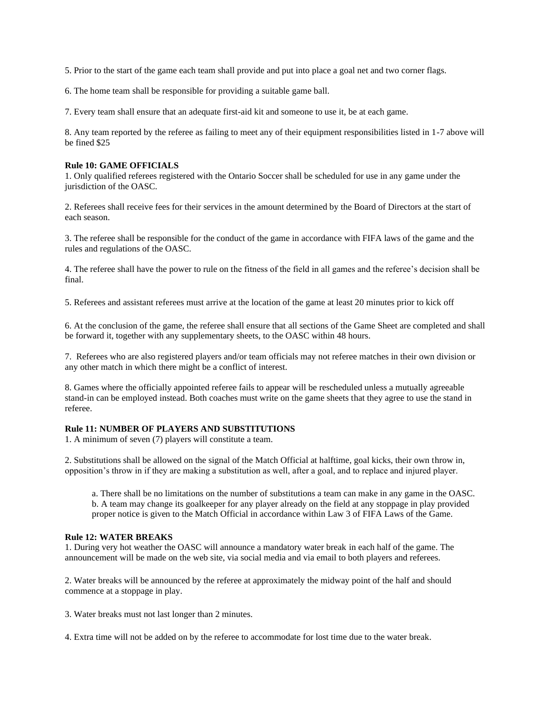5. Prior to the start of the game each team shall provide and put into place a goal net and two corner flags.

6. The home team shall be responsible for providing a suitable game ball.

7. Every team shall ensure that an adequate first-aid kit and someone to use it, be at each game.

8. Any team reported by the referee as failing to meet any of their equipment responsibilities listed in 1-7 above will be fined \$25

#### **Rule 10: GAME OFFICIALS**

1. Only qualified referees registered with the Ontario Soccer shall be scheduled for use in any game under the jurisdiction of the OASC.

2. Referees shall receive fees for their services in the amount determined by the Board of Directors at the start of each season.

3. The referee shall be responsible for the conduct of the game in accordance with FIFA laws of the game and the rules and regulations of the OASC.

4. The referee shall have the power to rule on the fitness of the field in all games and the referee's decision shall be final.

5. Referees and assistant referees must arrive at the location of the game at least 20 minutes prior to kick off

6. At the conclusion of the game, the referee shall ensure that all sections of the Game Sheet are completed and shall be forward it, together with any supplementary sheets, to the OASC within 48 hours.

7. Referees who are also registered players and/or team officials may not referee matches in their own division or any other match in which there might be a conflict of interest.

8. Games where the officially appointed referee fails to appear will be rescheduled unless a mutually agreeable stand-in can be employed instead. Both coaches must write on the game sheets that they agree to use the stand in referee.

# **Rule 11: NUMBER OF PLAYERS AND SUBSTITUTIONS**

1. A minimum of seven (7) players will constitute a team.

2. Substitutions shall be allowed on the signal of the Match Official at halftime, goal kicks, their own throw in, opposition's throw in if they are making a substitution as well, after a goal, and to replace and injured player.

a. There shall be no limitations on the number of substitutions a team can make in any game in the OASC. b. A team may change its goalkeeper for any player already on the field at any stoppage in play provided proper notice is given to the Match Official in accordance within Law 3 of FIFA Laws of the Game.

### **Rule 12: WATER BREAKS**

1. During very hot weather the OASC will announce a mandatory water break in each half of the game. The announcement will be made on the web site, via social media and via email to both players and referees.

2. Water breaks will be announced by the referee at approximately the midway point of the half and should commence at a stoppage in play.

3. Water breaks must not last longer than 2 minutes.

4. Extra time will not be added on by the referee to accommodate for lost time due to the water break.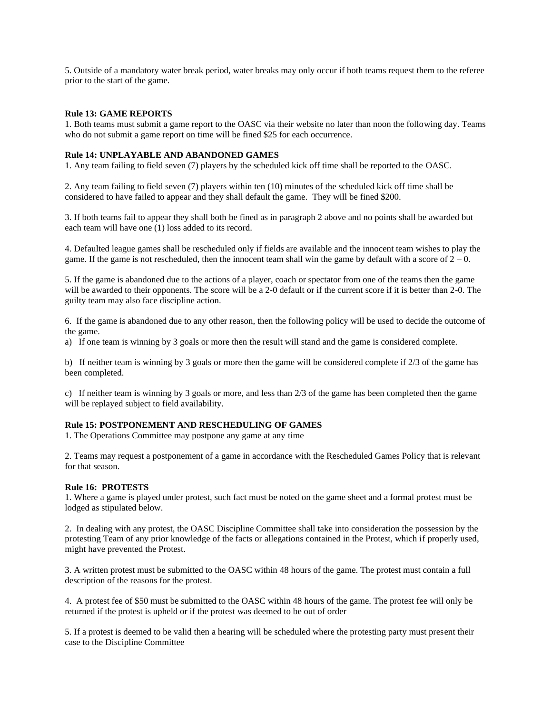5. Outside of a mandatory water break period, water breaks may only occur if both teams request them to the referee prior to the start of the game.

## **Rule 13: GAME REPORTS**

1. Both teams must submit a game report to the OASC via their website no later than noon the following day. Teams who do not submit a game report on time will be fined \$25 for each occurrence.

## **Rule 14: UNPLAYABLE AND ABANDONED GAMES**

1. Any team failing to field seven (7) players by the scheduled kick off time shall be reported to the OASC.

2. Any team failing to field seven (7) players within ten (10) minutes of the scheduled kick off time shall be considered to have failed to appear and they shall default the game. They will be fined \$200.

3. If both teams fail to appear they shall both be fined as in paragraph 2 above and no points shall be awarded but each team will have one (1) loss added to its record.

4. Defaulted league games shall be rescheduled only if fields are available and the innocent team wishes to play the game. If the game is not rescheduled, then the innocent team shall win the game by default with a score of  $2 - 0$ .

5. If the game is abandoned due to the actions of a player, coach or spectator from one of the teams then the game will be awarded to their opponents. The score will be a 2-0 default or if the current score if it is better than 2-0. The guilty team may also face discipline action.

6. If the game is abandoned due to any other reason, then the following policy will be used to decide the outcome of the game.

a) If one team is winning by 3 goals or more then the result will stand and the game is considered complete.

b) If neither team is winning by 3 goals or more then the game will be considered complete if 2/3 of the game has been completed.

c) If neither team is winning by 3 goals or more, and less than 2/3 of the game has been completed then the game will be replayed subject to field availability.

# **Rule 15: POSTPONEMENT AND RESCHEDULING OF GAMES**

1. The Operations Committee may postpone any game at any time

2. Teams may request a postponement of a game in accordance with the Rescheduled Games Policy that is relevant for that season.

### **Rule 16: PROTESTS**

1. Where a game is played under protest, such fact must be noted on the game sheet and a formal protest must be lodged as stipulated below.

2. In dealing with any protest, the OASC Discipline Committee shall take into consideration the possession by the protesting Team of any prior knowledge of the facts or allegations contained in the Protest, which if properly used, might have prevented the Protest.

3. A written protest must be submitted to the OASC within 48 hours of the game. The protest must contain a full description of the reasons for the protest.

4. A protest fee of \$50 must be submitted to the OASC within 48 hours of the game. The protest fee will only be returned if the protest is upheld or if the protest was deemed to be out of order

5. If a protest is deemed to be valid then a hearing will be scheduled where the protesting party must present their case to the Discipline Committee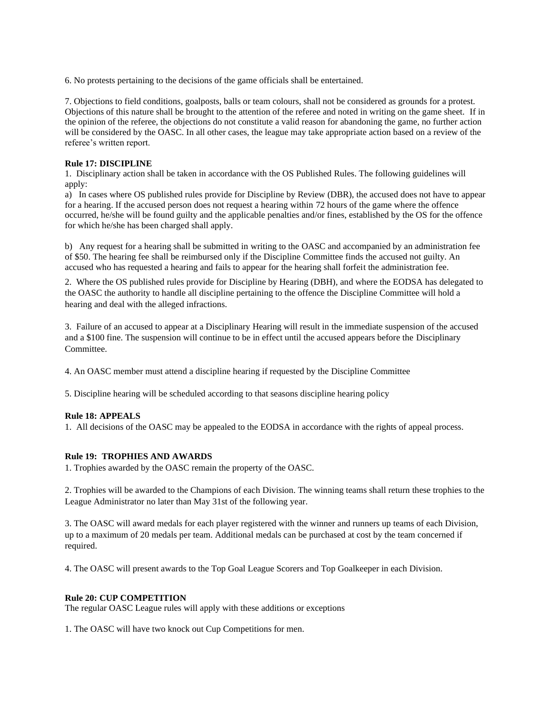6. No protests pertaining to the decisions of the game officials shall be entertained.

7. Objections to field conditions, goalposts, balls or team colours, shall not be considered as grounds for a protest. Objections of this nature shall be brought to the attention of the referee and noted in writing on the game sheet. If in the opinion of the referee, the objections do not constitute a valid reason for abandoning the game, no further action will be considered by the OASC. In all other cases, the league may take appropriate action based on a review of the referee's written report.

# **Rule 17: DISCIPLINE**

1. Disciplinary action shall be taken in accordance with the OS Published Rules. The following guidelines will apply:

a) In cases where OS published rules provide for Discipline by Review (DBR), the accused does not have to appear for a hearing. If the accused person does not request a hearing within 72 hours of the game where the offence occurred, he/she will be found guilty and the applicable penalties and/or fines, established by the OS for the offence for which he/she has been charged shall apply.

b) Any request for a hearing shall be submitted in writing to the OASC and accompanied by an administration fee of \$50. The hearing fee shall be reimbursed only if the Discipline Committee finds the accused not guilty. An accused who has requested a hearing and fails to appear for the hearing shall forfeit the administration fee.

2. Where the OS published rules provide for Discipline by Hearing (DBH), and where the EODSA has delegated to the OASC the authority to handle all discipline pertaining to the offence the Discipline Committee will hold a hearing and deal with the alleged infractions.

3. Failure of an accused to appear at a Disciplinary Hearing will result in the immediate suspension of the accused and a \$100 fine. The suspension will continue to be in effect until the accused appears before the Disciplinary Committee.

4. An OASC member must attend a discipline hearing if requested by the Discipline Committee

5. Discipline hearing will be scheduled according to that seasons discipline hearing policy

# **Rule 18: APPEALS**

1. All decisions of the OASC may be appealed to the EODSA in accordance with the rights of appeal process.

### **Rule 19: TROPHIES AND AWARDS**

1. Trophies awarded by the OASC remain the property of the OASC.

2. Trophies will be awarded to the Champions of each Division. The winning teams shall return these trophies to the League Administrator no later than May 31st of the following year.

3. The OASC will award medals for each player registered with the winner and runners up teams of each Division, up to a maximum of 20 medals per team. Additional medals can be purchased at cost by the team concerned if required.

4. The OASC will present awards to the Top Goal League Scorers and Top Goalkeeper in each Division.

### **Rule 20: CUP COMPETITION**

The regular OASC League rules will apply with these additions or exceptions

1. The OASC will have two knock out Cup Competitions for men.